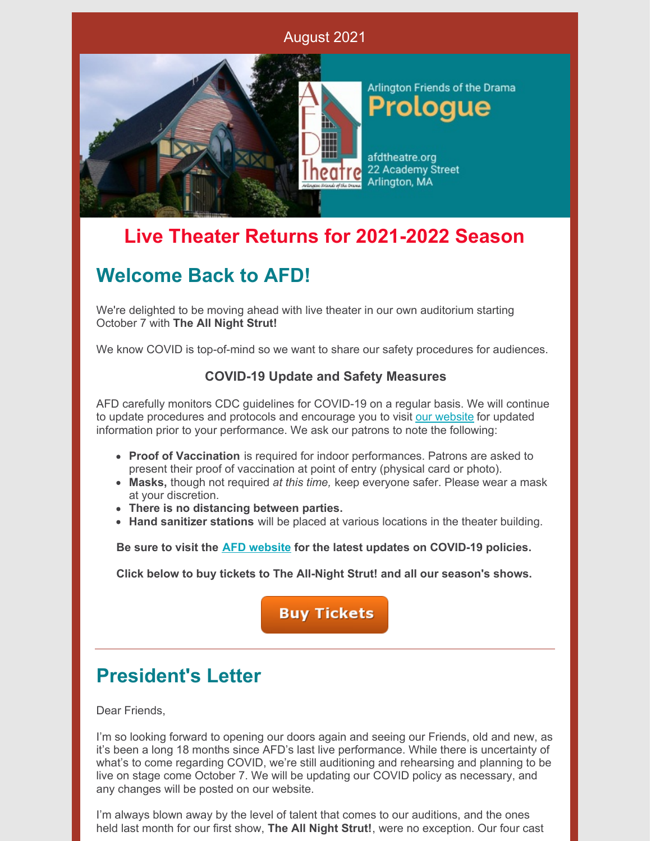### August 2021



Arlington Friends of the Drama **Prologue** 

afdtheatre.org 22 Academy Street Arlington, MA

# **Live Theater Returns for 2021-2022 Season**

# **Welcome Back to AFD!**

We're delighted to be moving ahead with live theater in our own auditorium starting October 7 with **The All Night Strut!**

We know COVID is top-of-mind so we want to share our safety procedures for audiences.

#### **COVID-19 Update and Safety Measures**

AFD carefully monitors CDC guidelines for COVID-19 on a regular basis. We will continue to update procedures and protocols and encourage you to visit our [website](https://www.afdtheatre.org/) for updated information prior to your performance. We ask our patrons to note the following:

- **Proof of Vaccination** is required for indoor performances. Patrons are asked to present their proof of vaccination at point of entry (physical card or photo).
- **Masks,** though not required *at this time,* keep everyone safer. Please wear a mask at your discretion.
- **There is no distancing between parties.**
- **Hand sanitizer stations** will be placed at various locations in the theater building.

**Be sure to visit the AFD [website](https://www.afdtheatre.org/) for the latest updates on COVID-19 policies.**

**Click below to buy tickets to The All-Night Strut! and all our season's shows.**

**Buy Tickets** 

# **President's Letter**

Dear Friends,

I'm so looking forward to opening our doors again and seeing our Friends, old and new, as it's been a long 18 months since AFD's last live performance. While there is uncertainty of what's to come regarding COVID, we're still auditioning and rehearsing and planning to be live on stage come October 7. We will be updating our COVID policy as necessary, and any changes will be posted on our website.

I'm always blown away by the level of talent that comes to our auditions, and the ones held last month for our first show, **The All Night Strut!**, were no exception. Our four cast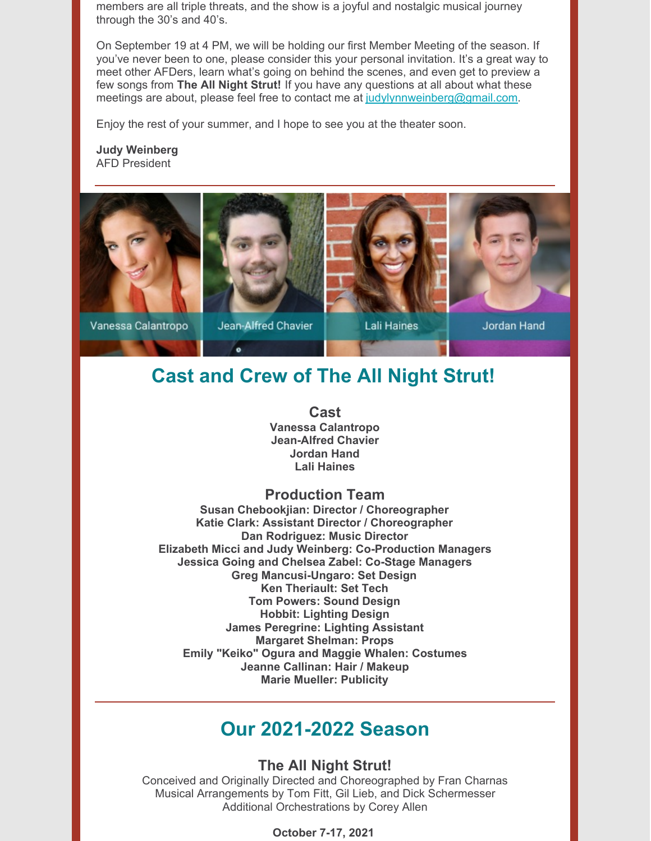members are all triple threats, and the show is a joyful and nostalgic musical journey through the 30's and 40's.

On September 19 at 4 PM, we will be holding our first Member Meeting of the season. If you've never been to one, please consider this your personal invitation. It's a great way to meet other AFDers, learn what's going on behind the scenes, and even get to preview a few songs from **The All Night Strut!** If you have any questions at all about what these meetings are about, please feel free to contact me at [judylynnweinberg@gmail.com](mailto:judylynnweinberg@gmail.com).

Enjoy the rest of your summer, and I hope to see you at the theater soon.

**Judy Weinberg** AFD President





`o





Vanessa Calantropo

Jean-Alfred Chavier

**Lali Haines** 

Jordan Hand

## **Cast and Crew of The All Night Strut!**

**Cast Vanessa Calantropo Jean-Alfred Chavier Jordan Hand Lali Haines**

#### **Production Team**

**Susan Chebookjian: Director / Choreographer Katie Clark: Assistant Director / Choreographer Dan Rodriguez: Music Director Elizabeth Micci and Judy Weinberg: Co-Production Managers Jessica Going and Chelsea Zabel: Co-Stage Managers Greg Mancusi-Ungaro: Set Design Ken Theriault: Set Tech Tom Powers: Sound Design Hobbit: Lighting Design James Peregrine: Lighting Assistant Margaret Shelman: Props Emily "Keiko" Ogura and Maggie Whalen: Costumes Jeanne Callinan: Hair / Makeup Marie Mueller: Publicity**

### **Our 2021-2022 Season**

#### **The All Night Strut!**

Conceived and Originally Directed and Choreographed by Fran Charnas Musical Arrangements by Tom Fitt, Gil Lieb, and Dick Schermesser Additional Orchestrations by Corey Allen

**October 7-17, 2021**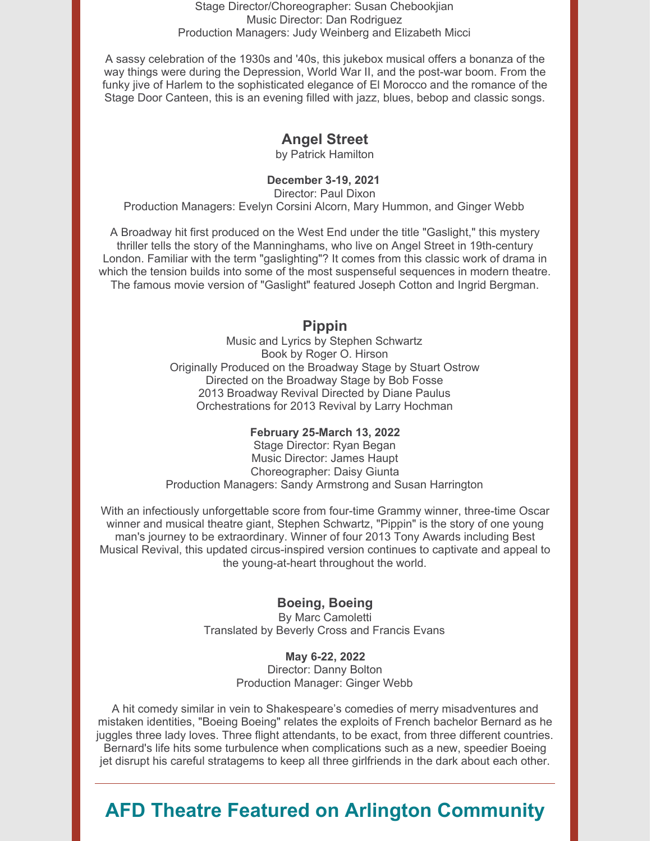#### Stage Director/Choreographer: Susan Chebookjian Music Director: Dan Rodriguez Production Managers: Judy Weinberg and Elizabeth Micci

A sassy celebration of the 1930s and '40s, this jukebox musical offers a bonanza of the way things were during the Depression, World War II, and the post-war boom. From the funky jive of Harlem to the sophisticated elegance of El Morocco and the romance of the Stage Door Canteen, this is an evening filled with jazz, blues, bebop and classic songs.

#### **Angel Street**

by Patrick Hamilton

#### **December 3-19, 2021**

Director: Paul Dixon Production Managers: Evelyn Corsini Alcorn, Mary Hummon, and Ginger Webb

A Broadway hit first produced on the West End under the title "Gaslight," this mystery thriller tells the story of the Manninghams, who live on Angel Street in 19th-century London. Familiar with the term "gaslighting"? It comes from this classic work of drama in which the tension builds into some of the most suspenseful sequences in modern theatre. The famous movie version of "Gaslight" featured Joseph Cotton and Ingrid Bergman.

#### **Pippin**

Music and Lyrics by Stephen Schwartz Book by Roger O. Hirson Originally Produced on the Broadway Stage by Stuart Ostrow Directed on the Broadway Stage by Bob Fosse 2013 Broadway Revival Directed by Diane Paulus Orchestrations for 2013 Revival by Larry Hochman

#### **February 25-March 13, 2022**

Stage Director: Ryan Began Music Director: James Haupt Choreographer: Daisy Giunta Production Managers: Sandy Armstrong and Susan Harrington

With an infectiously unforgettable score from four-time Grammy winner, three-time Oscar winner and musical theatre giant, Stephen Schwartz, "Pippin" is the story of one young man's journey to be extraordinary. Winner of four 2013 Tony Awards including Best Musical Revival, this updated circus-inspired version continues to captivate and appeal to the young-at-heart throughout the world.

#### **Boeing, Boeing**

By Marc Camoletti Translated by Beverly Cross and Francis Evans

> **May 6-22, 2022** Director: Danny Bolton Production Manager: Ginger Webb

A hit comedy similar in vein to Shakespeare's comedies of merry misadventures and mistaken identities, "Boeing Boeing" relates the exploits of French bachelor Bernard as he juggles three lady loves. Three flight attendants, to be exact, from three different countries. Bernard's life hits some turbulence when complications such as a new, speedier Boeing jet disrupt his careful stratagems to keep all three girlfriends in the dark about each other.

# **AFD Theatre Featured on Arlington Community**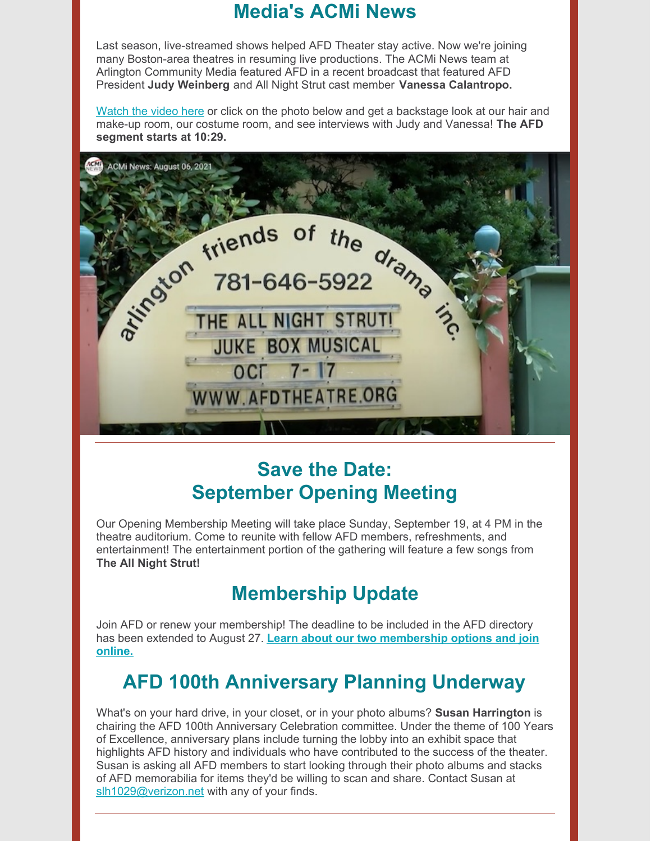## **Media's ACMi News**

Last season, live-streamed shows helped AFD Theater stay active. Now we're joining many Boston-area theatres in resuming live productions. The ACMi News team at Arlington Community Media featured AFD in a recent broadcast that featured AFD President **Judy Weinberg** and All Night Strut cast member **Vanessa Calantropo.**

[Watch](https://acmi.tv/videos/acmi-news-august-06-2021/) the video here or click on the photo below and get a backstage look at our hair and make-up room, our costume room, and see interviews with Judy and Vanessa! **The AFD segment starts at 10:29.**

**ACMi News: August 06, 2021** THE ALL NIGHT STRUTI **JUKE BOX MUSICAL** OCF 7-17 WWW.AFDTHEATRE.ORG

# **Save the Date: September Opening Meeting**

Our Opening Membership Meeting will take place Sunday, September 19, at 4 PM in the theatre auditorium. Come to reunite with fellow AFD members, refreshments, and entertainment! The entertainment portion of the gathering will feature a few songs from **The All Night Strut!**

# **Membership Update**

Join AFD or renew your membership! The deadline to be included in the AFD directory has been extended to August 27. **Learn about our two [membership](https://www.afdtheatre.org/copy-of-join-us) options and join online.**

## **AFD 100th Anniversary Planning Underway**

What's on your hard drive, in your closet, or in your photo albums? **Susan Harrington** is chairing the AFD 100th Anniversary Celebration committee. Under the theme of 100 Years of Excellence, anniversary plans include turning the lobby into an exhibit space that highlights AFD history and individuals who have contributed to the success of the theater. Susan is asking all AFD members to start looking through their photo albums and stacks of AFD memorabilia for items they'd be willing to scan and share. Contact Susan at [slh1029@verizon.net](mailto:slh1029@verizon.net) with any of your finds.